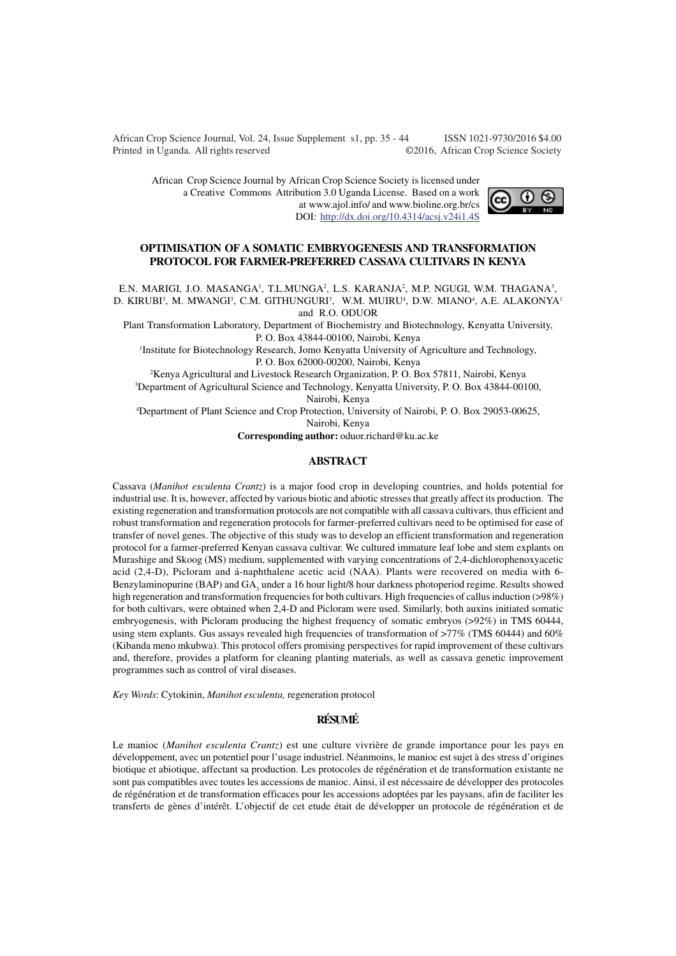African Crop Science Journal, Vol. 24, Issue Supplement s1, pp. 35 - 44 ISSN 1021-9730/2016 \$4.00 Printed in Uganda. All rights reserved ©2016, African Crop Science Society

African Crop Science Journal by African Crop Science Society is licensed under a Creative Commons Attribution 3.0 Uganda License. Based on a work at www.ajol.info/ and www.bioline.org.br/cs DOI: http://dx.doi.org/10.4314/acsj.v24i1.4S



### **OPTIMISATION OF A SOMATIC EMBRYOGENESIS AND TRANSFORMATION PROTOCOL FOR FARMER-PREFERRED CASSAVA CULTIVARS IN KENYA**

E.N. MARIGI, J.O. MASANGA<sup>1</sup>, T.L.MUNGA<sup>2</sup>, L.S. KARANJA<sup>2</sup>, M.P. NGUGI, W.M. THAGANA<sup>3</sup>, D. KIRUBI<sup>3</sup>, M. MWANGI<sup>3</sup>, C.M. GITHUNGURI<sup>3</sup>, W.M. MUIRU<sup>4</sup>, D.W. MIANO<sup>4</sup>, A.E. ALAKONYA<sup>1</sup> and R.O. ODUOR

Plant Transformation Laboratory, Department of Biochemistry and Biotechnology, Kenyatta University, P. O. Box 43844-00100, Nairobi, Kenya

1 Institute for Biotechnology Research, Jomo Kenyatta University of Agriculture and Technology, P. O. Box 62000-00200, Nairobi, Kenya

<sup>2</sup>Kenya Agricultural and Livestock Research Organization, P. O. Box 57811, Nairobi, Kenya

<sup>3</sup>Department of Agricultural Science and Technology, Kenyatta University, P. O. Box 43844-00100, Nairobi, Kenya

<sup>4</sup>Department of Plant Science and Crop Protection, University of Nairobi, P. O. Box 29053-00625, Nairobi, Kenya

**Corresponding author:** oduor.richard@ku.ac.ke

## **ABSTRACT**

Cassava (*Manihot esculenta Crantz*) is a major food crop in developing countries, and holds potential for industrial use. It is, however, affected by various biotic and abiotic stresses that greatly affect its production. The existing regeneration and transformation protocols are not compatible with all cassava cultivars, thus efficient and robust transformation and regeneration protocols for farmer-preferred cultivars need to be optimised for ease of transfer of novel genes. The objective of this study was to develop an efficient transformation and regeneration protocol for a farmer-preferred Kenyan cassava cultivar. We cultured immature leaf lobe and stem explants on Murashige and Skoog (MS) medium, supplemented with varying concentrations of 2,4-dichlorophenoxyacetic acid (2,4-D), Picloram and á-naphthalene acetic acid (NAA). Plants were recovered on media with 6- Benzylaminopurine (BAP) and GA<sub>3</sub> under a 16 hour light/8 hour darkness photoperiod regime. Results showed high regeneration and transformation frequencies for both cultivars. High frequencies of callus induction (>98%) for both cultivars, were obtained when 2,4-D and Picloram were used. Similarly, both auxins initiated somatic embryogenesis, with Picloram producing the highest frequency of somatic embryos (>92%) in TMS 60444, using stem explants. Gus assays revealed high frequencies of transformation of >77% (TMS 60444) and 60% (Kibanda meno mkubwa). This protocol offers promising perspectives for rapid improvement of these cultivars and, therefore, provides a platform for cleaning planting materials, as well as cassava genetic improvement programmes such as control of viral diseases.

*Key Words*: Cytokinin, *Manihot esculenta,* regeneration protocol

# **RÉSUMÉ**

Le manioc (*Manihot esculenta Crantz*) est une culture vivrière de grande importance pour les pays en développement, avec un potentiel pour l'usage industriel. Néanmoins, le manioc est sujet à des stress d'origines biotique et abiotique, affectant sa production. Les protocoles de régénération et de transformation existante ne sont pas compatibles avec toutes les accessions de manioc. Ainsi, il est nécessaire de développer des protocoles de régénération et de transformation efficaces pour les accessions adoptées par les paysans, afin de faciliter les transferts de gènes d'intérêt. L'objectif de cet etude était de développer un protocole de régénération et de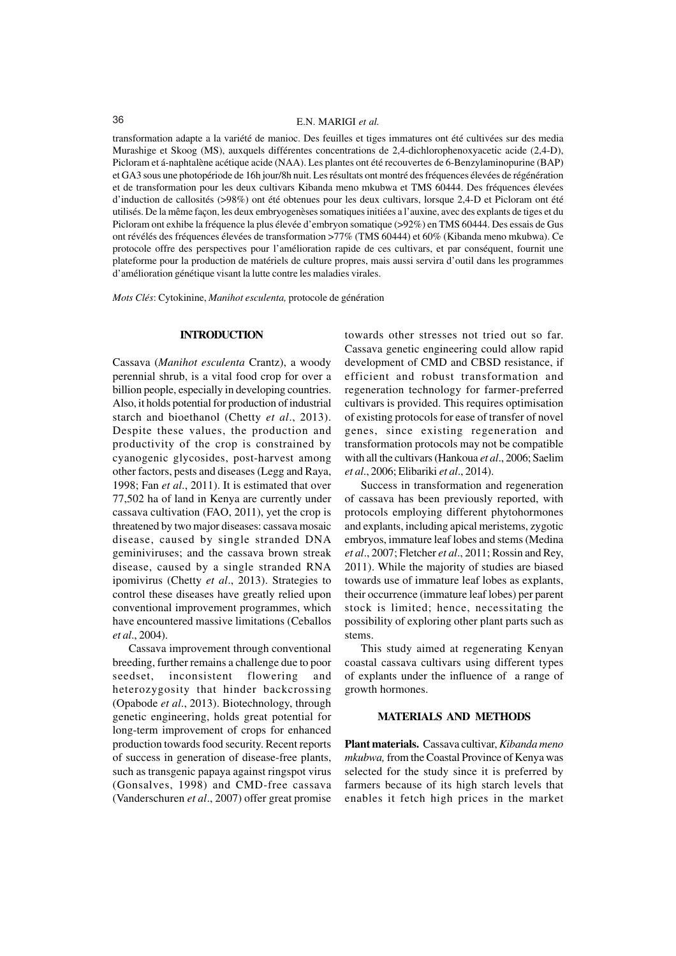# 36 E.N. MARIGI *et al.*

transformation adapte a la variété de manioc. Des feuilles et tiges immatures ont été cultivées sur des media Murashige et Skoog (MS), auxquels différentes concentrations de 2,4-dichlorophenoxyacetic acide (2,4-D), Picloram et á-naphtalène acétique acide (NAA). Les plantes ont été recouvertes de 6-Benzylaminopurine (BAP) et GA3 sous une photopériode de 16h jour/8h nuit. Les résultats ont montré des fréquences élevées de régénération et de transformation pour les deux cultivars Kibanda meno mkubwa et TMS 60444. Des fréquences élevées d'induction de callosités (>98%) ont été obtenues pour les deux cultivars, lorsque 2,4-D et Picloram ont été utilisés. De la même façon, les deux embryogenèses somatiques initiées a l'auxine, avec des explants de tiges et du Picloram ont exhibe la fréquence la plus élevée d'embryon somatique (>92%) en TMS 60444. Des essais de Gus ont révélés des fréquences élevées de transformation >77% (TMS 60444) et 60% (Kibanda meno mkubwa). Ce protocole offre des perspectives pour l'amélioration rapide de ces cultivars, et par conséquent, fournit une plateforme pour la production de matériels de culture propres, mais aussi servira d'outil dans les programmes d'amélioration génétique visant la lutte contre les maladies virales.

*Mots Clés*: Cytokinine, *Manihot esculenta,* protocole de génération

## **INTRODUCTION**

Cassava (*Manihot esculenta* Crantz), a woody perennial shrub, is a vital food crop for over a billion people, especially in developing countries. Also, it holds potential for production of industrial starch and bioethanol (Chetty *et al*., 2013). Despite these values, the production and productivity of the crop is constrained by cyanogenic glycosides, post-harvest among other factors, pests and diseases (Legg and Raya, 1998; Fan *et al*., 2011). It is estimated that over 77,502 ha of land in Kenya are currently under cassava cultivation (FAO, 2011), yet the crop is threatened by two major diseases: cassava mosaic disease, caused by single stranded DNA geminiviruses; and the cassava brown streak disease, caused by a single stranded RNA ipomivirus (Chetty *et al*., 2013). Strategies to control these diseases have greatly relied upon conventional improvement programmes, which have encountered massive limitations (Ceballos *et al*., 2004).

Cassava improvement through conventional breeding, further remains a challenge due to poor seedset, inconsistent flowering and heterozygosity that hinder backcrossing (Opabode *et al*., 2013). Biotechnology, through genetic engineering, holds great potential for long-term improvement of crops for enhanced production towards food security. Recent reports of success in generation of disease-free plants, such as transgenic papaya against ringspot virus (Gonsalves, 1998) and CMD-free cassava (Vanderschuren *et al*., 2007) offer great promise

towards other stresses not tried out so far. Cassava genetic engineering could allow rapid development of CMD and CBSD resistance, if efficient and robust transformation and regeneration technology for farmer-preferred cultivars is provided. This requires optimisation of existing protocols for ease of transfer of novel genes, since existing regeneration and transformation protocols may not be compatible with all the cultivars (Hankoua *et al*., 2006; Saelim *et al*., 2006; Elibariki *et al*., 2014).

Success in transformation and regeneration of cassava has been previously reported, with protocols employing different phytohormones and explants, including apical meristems, zygotic embryos, immature leaf lobes and stems (Medina *et al*., 2007; Fletcher *et al*., 2011; Rossin and Rey, 2011). While the majority of studies are biased towards use of immature leaf lobes as explants, their occurrence (immature leaf lobes) per parent stock is limited; hence, necessitating the possibility of exploring other plant parts such as stems.

This study aimed at regenerating Kenyan coastal cassava cultivars using different types of explants under the influence of a range of growth hormones.

### **MATERIALS AND METHODS**

**Plant materials.** Cassava cultivar, *Kibanda meno mkubwa,* from the Coastal Province of Kenya was selected for the study since it is preferred by farmers because of its high starch levels that enables it fetch high prices in the market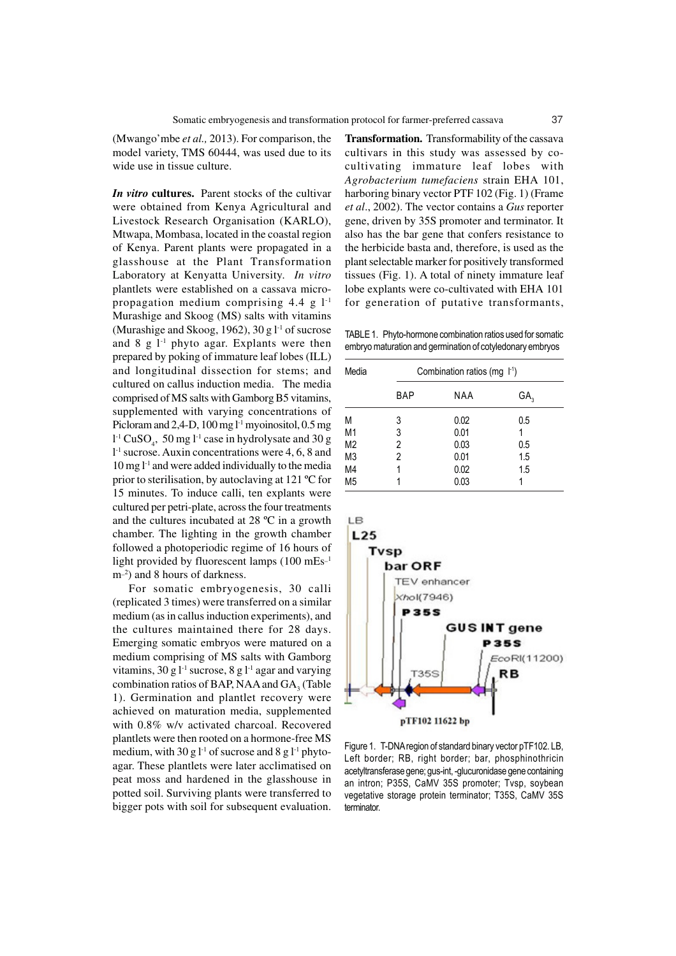(Mwango'mbe *et al.,* 2013). For comparison, the model variety, TMS 60444, was used due to its wide use in tissue culture.

*In vitro* **cultures.** Parent stocks of the cultivar were obtained from Kenya Agricultural and Livestock Research Organisation (KARLO), Mtwapa, Mombasa, located in the coastal region of Kenya. Parent plants were propagated in a glasshouse at the Plant Transformation Laboratory at Kenyatta University. *In vitro* plantlets were established on a cassava micropropagation medium comprising  $4.4 \text{ g}$   $1<sup>1</sup>$ Murashige and Skoog (MS) salts with vitamins (Murashige and Skoog, 1962), 30 g  $1<sup>-1</sup>$  of sucrose and 8 g  $1<sup>-1</sup>$  phyto agar. Explants were then prepared by poking of immature leaf lobes (ILL) and longitudinal dissection for stems; and cultured on callus induction media. The media comprised of MS salts with Gamborg B5 vitamins, supplemented with varying concentrations of Picloram and 2,4-D, 100 mg l<sup>-1</sup> myoinositol, 0.5 mg  $1^{\text{-}1}$  CuSO<sub>4</sub>, 50 mg  $1^{\text{-}1}$  case in hydrolysate and 30 g l -1 sucrose. Auxin concentrations were 4, 6, 8 and 10 mg l-1 and were added individually to the media prior to sterilisation, by autoclaving at 121 ºC for 15 minutes. To induce calli, ten explants were cultured per petri-plate, across the four treatments and the cultures incubated at 28 ºC in a growth chamber. The lighting in the growth chamber followed a photoperiodic regime of 16 hours of light provided by fluorescent lamps  $(100 \text{ mEs}^{-1})$ m<sup>-2</sup>) and 8 hours of darkness.

For somatic embryogenesis, 30 calli (replicated 3 times) were transferred on a similar medium (as in callus induction experiments), and the cultures maintained there for 28 days. Emerging somatic embryos were matured on a medium comprising of MS salts with Gamborg vitamins,  $30 g l^{-1}$  sucrose,  $8 g l^{-1}$  agar and varying combination ratios of BAP, NAA and  $GA_{3}$  (Table 1). Germination and plantlet recovery were achieved on maturation media, supplemented with 0.8% w/v activated charcoal. Recovered plantlets were then rooted on a hormone-free MS medium, with 30 g  $l^{-1}$  of sucrose and 8 g  $l^{-1}$  phytoagar. These plantlets were later acclimatised on peat moss and hardened in the glasshouse in potted soil. Surviving plants were transferred to bigger pots with soil for subsequent evaluation.

**Transformation.** Transformability of the cassava cultivars in this study was assessed by cocultivating immature leaf lobes with *Agrobacterium tumefaciens* strain EHA 101, harboring binary vector PTF 102 (Fig. 1) (Frame *et al*., 2002). The vector contains a *Gus* reporter gene, driven by 35S promoter and terminator. It also has the bar gene that confers resistance to the herbicide basta and, therefore, is used as the plant selectable marker for positively transformed tissues (Fig. 1). A total of ninety immature leaf lobe explants were co-cultivated with EHA 101 for generation of putative transformants,

TABLE 1. Phyto-hormone combination ratios used for somatic embryo maturation and germination of cotyledonary embryos

| Media          | Combination ratios (mg $1^{\circ}$ ) |      |     |  |
|----------------|--------------------------------------|------|-----|--|
|                | BAP                                  | NAA  | GA, |  |
| M              | 3                                    | 0.02 | 0.5 |  |
| M1             | 3                                    | 0.01 |     |  |
| M <sub>2</sub> | 2                                    | 0.03 | 0.5 |  |
| M <sub>3</sub> | 2                                    | 0.01 | 1.5 |  |
| M4             |                                      | 0.02 | 1.5 |  |
| M <sub>5</sub> |                                      | 0.03 |     |  |



Figure 1. T-DNA region of standard binary vector pTF102. LB, Left border: RB, right border; bar, phosphinothricin acetyltransferase gene; gus-int, -glucuronidase gene containing an intron; P35S, CaMV 35S promoter; Tvsp, soybean vegetative storage protein terminator; T35S, CaMV 35S terminator.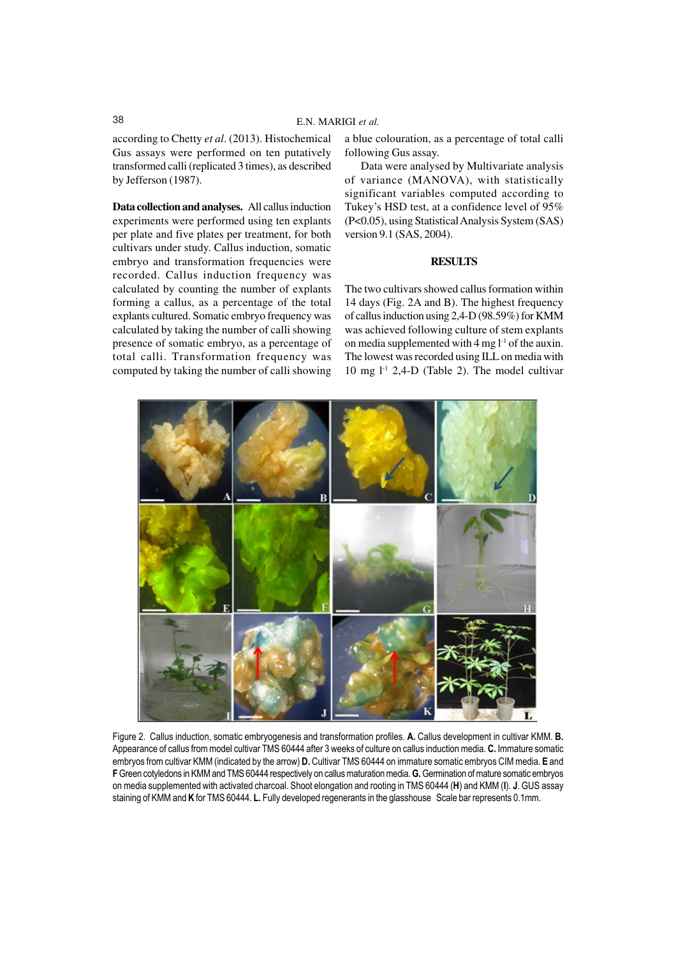according to Chetty *et al*. (2013). Histochemical Gus assays were performed on ten putatively transformed calli (replicated 3 times), as described by Jefferson (1987).

**Data collection and analyses.** All callus induction experiments were performed using ten explants per plate and five plates per treatment, for both cultivars under study. Callus induction, somatic embryo and transformation frequencies were recorded. Callus induction frequency was calculated by counting the number of explants forming a callus, as a percentage of the total explants cultured. Somatic embryo frequency was calculated by taking the number of calli showing presence of somatic embryo, as a percentage of total calli. Transformation frequency was computed by taking the number of calli showing

a blue colouration, as a percentage of total calli following Gus assay.

Data were analysed by Multivariate analysis of variance (MANOVA), with statistically significant variables computed according to Tukey's HSD test, at a confidence level of 95% (P<0.05), using Statistical Analysis System (SAS) version 9.1 (SAS, 2004).

## **RESULTS**

The two cultivars showed callus formation within 14 days (Fig. 2A and B). The highest frequency of callus induction using 2,4-D (98.59%) for KMM was achieved following culture of stem explants on media supplemented with  $4 \text{ mg } l^{-1}$  of the auxin. The lowest was recorded using ILL on media with 10 mg l-1 2,4-D (Table 2). The model cultivar



Figure 2. Callus induction, somatic embryogenesis and transformation profiles. **A.** Callus development in cultivar KMM. **B.** Appearance of callus from model cultivar TMS 60444 after 3 weeks of culture on callus induction media. **C.** Immature somatic embryos from cultivar KMM (indicated by the arrow) **D.** Cultivar TMS 60444 on immature somatic embryos CIM media. **E** and **F** Green cotyledons in KMM and TMS 60444 respectively on callus maturation media. **G.** Germination of mature somatic embryos on media supplemented with activated charcoal. Shoot elongation and rooting in TMS 60444 (**H**) and KMM (**I**). **J**. GUS assay staining of KMM and **K** for TMS 60444. **L.** Fully developed regenerants in the glasshouse Scale bar represents 0.1mm.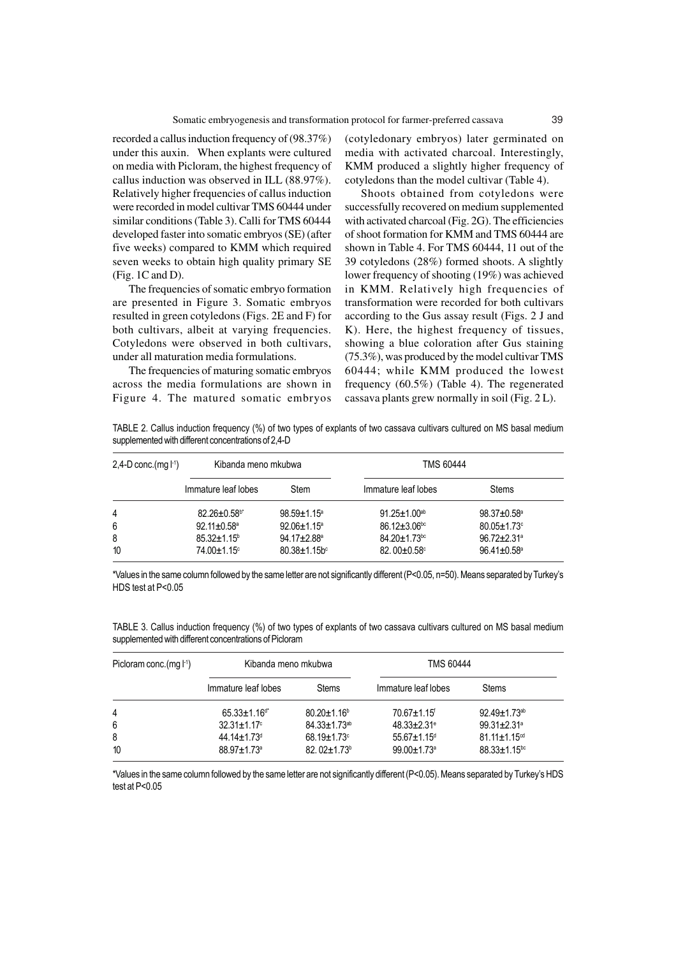recorded a callus induction frequency of (98.37%) under this auxin. When explants were cultured on media with Picloram, the highest frequency of callus induction was observed in ILL (88.97%). Relatively higher frequencies of callus induction were recorded in model cultivar TMS 60444 under similar conditions (Table 3). Calli for TMS 60444 developed faster into somatic embryos (SE) (after five weeks) compared to KMM which required seven weeks to obtain high quality primary SE (Fig. 1C and D).

The frequencies of somatic embryo formation are presented in Figure 3. Somatic embryos resulted in green cotyledons (Figs. 2E and F) for both cultivars, albeit at varying frequencies. Cotyledons were observed in both cultivars, under all maturation media formulations.

The frequencies of maturing somatic embryos across the media formulations are shown in Figure 4. The matured somatic embryos

(cotyledonary embryos) later germinated on media with activated charcoal. Interestingly, KMM produced a slightly higher frequency of cotyledons than the model cultivar (Table 4).

Shoots obtained from cotyledons were successfully recovered on medium supplemented with activated charcoal (Fig. 2G). The efficiencies of shoot formation for KMM and TMS 60444 are shown in Table 4. For TMS 60444, 11 out of the 39 cotyledons (28%) formed shoots. A slightly lower frequency of shooting (19%) was achieved in KMM. Relatively high frequencies of transformation were recorded for both cultivars according to the Gus assay result (Figs. 2 J and K). Here, the highest frequency of tissues, showing a blue coloration after Gus staining (75.3%), was produced by the model cultivar TMS 60444; while KMM produced the lowest frequency (60.5%) (Table 4). The regenerated cassava plants grew normally in soil (Fig. 2 L).

TABLE 2. Callus induction frequency (%) of two types of explants of two cassava cultivars cultured on MS basal medium supplemented with different concentrations of 2,4-D

| $2,4$ -D conc.(mg $1-1$ ) | Kibanda meno mkubwa            |                               | TMS 60444                      |                               |
|---------------------------|--------------------------------|-------------------------------|--------------------------------|-------------------------------|
|                           | Immature leaf lobes            | <b>Stem</b>                   | Immature leaf lobes            | <b>Stems</b>                  |
| 4                         | $82.26 \pm 0.58$ <sup>b*</sup> | $98.59 \pm 1.15^a$            | $91.25 \pm 1.00$ <sup>ab</sup> | $98.37 + 0.58$ <sup>a</sup>   |
| 6                         | $92.11 \pm 0.58$ <sup>a</sup>  | $92.06 \pm 1.15^{\circ}$      | $86.12 \pm 3.06$ <sup>bc</sup> | $80.05 \pm 1.73$ °            |
| 8                         | $85.32 \pm 1.15$ <sup>b</sup>  | $94.17 \pm 2.88$ <sup>a</sup> | $84.20 \pm 1.73$ bc            | $96.72 \pm 2.31$ <sup>a</sup> |
| 10                        | 74.00±1.15°                    | $80.38 + 1.15b^c$             | $82.00 \pm 0.58$ °             | $96.41 \pm 0.58$ <sup>a</sup> |

\*Values in the same column followed by the same letter are not significantly different (P<0.05, n=50). Means separated by Turkey's HDS test at P<0.05

| Picloram conc. $(mg11)$ | Kibanda meno mkubwa                                            |                                                     | TMS 60444                                                    |                                                                  |
|-------------------------|----------------------------------------------------------------|-----------------------------------------------------|--------------------------------------------------------------|------------------------------------------------------------------|
|                         | Immature leaf lobes                                            | <b>Stems</b>                                        | Immature leaf lobes                                          | <b>Stems</b>                                                     |
| 4                       | $65.33 \pm 1.16$ <sup>d*</sup>                                 | $80.20 \pm 1.16^b$                                  | 70.67±1.15f                                                  | $92.49 \pm 1.73$ <sup>ab</sup>                                   |
| 6                       | $32.31 \pm 1.17$ °                                             | $84.33 \pm 1.73$ <sup>ab</sup>                      | $48.33 \pm 2.31$ <sup>e</sup>                                | $99.31 \pm 2.31$ <sup>a</sup>                                    |
| 8<br>10                 | $44.14 \pm 1.73$ <sup>d</sup><br>$88.97 \pm 1.73$ <sup>a</sup> | $68.19 \pm 1.73$ °<br>$82.02 \pm 1.73$ <sup>b</sup> | $55.67 \pm 1.15$ <sup>d</sup><br>$99.00 + 1.73$ <sup>a</sup> | $81.11 \pm 1.15$ <sup>cd</sup><br>$88.33 \pm 1.15$ <sup>bc</sup> |

TABLE 3. Callus induction frequency (%) of two types of explants of two cassava cultivars cultured on MS basal medium supplemented with different concentrations of Picloram

\*Values in the same column followed by the same letter are not significantly different (P<0.05). Means separated by Turkey's HDS test at P<0.05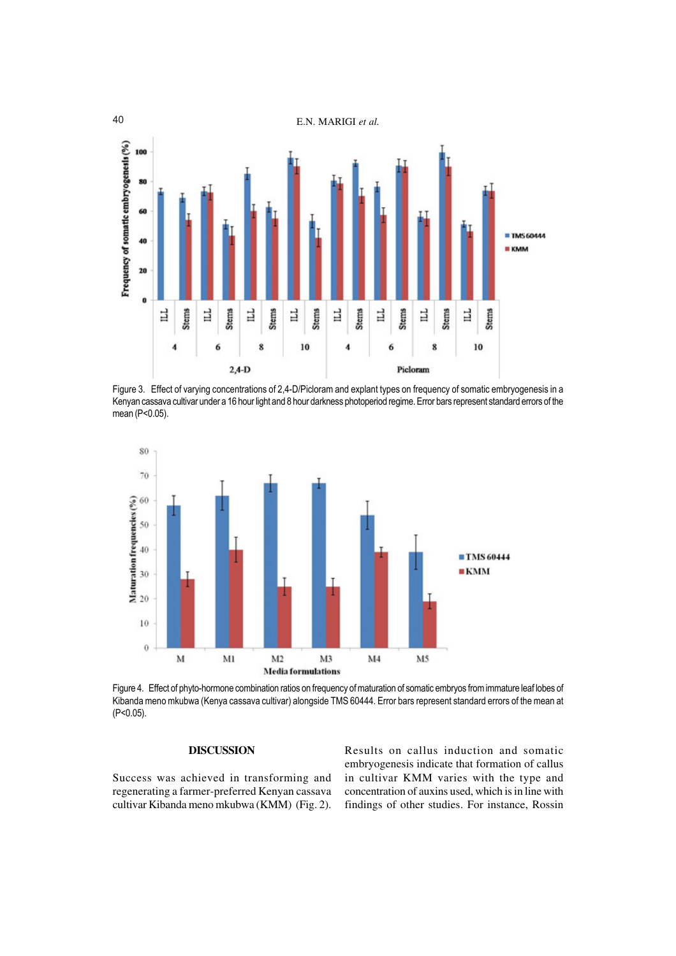

Figure 3. Effect of varying concentrations of 2,4-D/Picloram and explant types on frequency of somatic embryogenesis in a Kenyan cassava cultivar under a 16 hour light and 8 hour darkness photoperiod regime. Error bars represent standard errors of the mean (P<0.05).



Figure 4. Effect of phyto-hormone combination ratios on frequency of maturation of somatic embryos from immature leaf lobes of Kibanda meno mkubwa (Kenya cassava cultivar) alongside TMS 60444. Error bars represent standard errors of the mean at (P<0.05).

# **DISCUSSION**

Success was achieved in transforming and regenerating a farmer-preferred Kenyan cassava cultivar Kibanda meno mkubwa (KMM) (Fig. 2).

Results on callus induction and somatic embryogenesis indicate that formation of callus in cultivar KMM varies with the type and concentration of auxins used, which is in line with findings of other studies. For instance, Rossin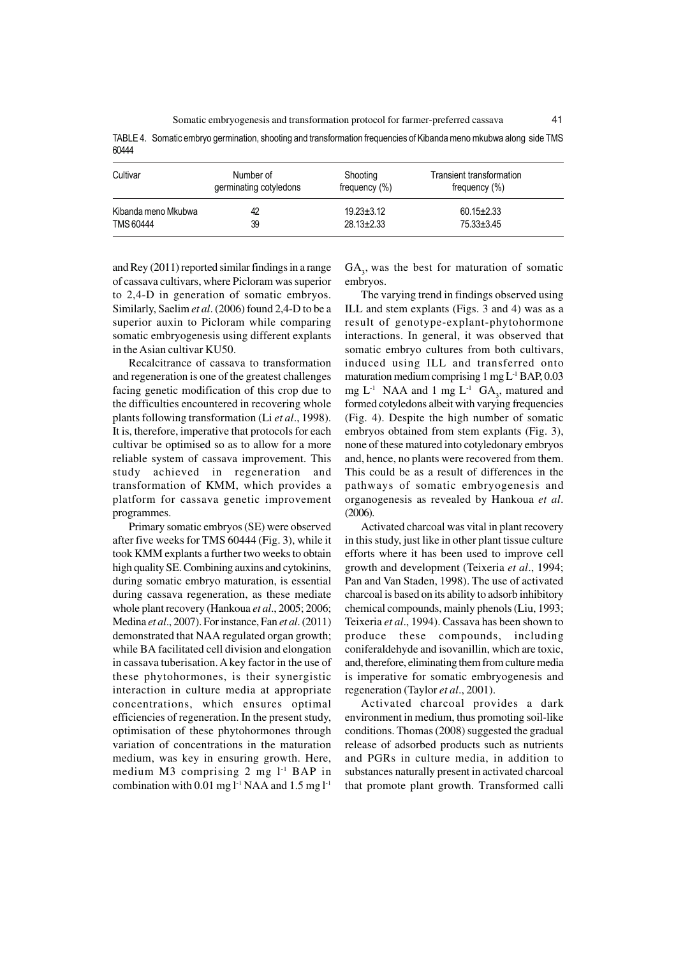TABLE 4. Somatic embryo germination, shooting and transformation frequencies of Kibanda meno mkubwa along side TMS 60444

| Cultivar            | Number of<br>germinating cotyledons | Shooting<br>frequency $(\%)$ | Transient transformation<br>frequency $(\%)$ |  |
|---------------------|-------------------------------------|------------------------------|----------------------------------------------|--|
| Kibanda meno Mkubwa | 42                                  | $19.23 \pm 3.12$             | $60.15 \pm 2.33$                             |  |
| TMS 60444           | 39                                  | $28.13 \pm 2.33$             | $75.33 \pm 3.45$                             |  |

and Rey (2011) reported similar findings in a range of cassava cultivars, where Picloram was superior to 2,4-D in generation of somatic embryos. Similarly, Saelim *et al*. (2006) found 2,4-D to be a superior auxin to Picloram while comparing somatic embryogenesis using different explants in the Asian cultivar KU50.

Recalcitrance of cassava to transformation and regeneration is one of the greatest challenges facing genetic modification of this crop due to the difficulties encountered in recovering whole plants following transformation (Li *et al*., 1998). It is, therefore, imperative that protocols for each cultivar be optimised so as to allow for a more reliable system of cassava improvement. This study achieved in regeneration and transformation of KMM, which provides a platform for cassava genetic improvement programmes.

Primary somatic embryos (SE) were observed after five weeks for TMS 60444 (Fig. 3), while it took KMM explants a further two weeks to obtain high quality SE. Combining auxins and cytokinins, during somatic embryo maturation, is essential during cassava regeneration, as these mediate whole plant recovery (Hankoua *et al*., 2005; 2006; Medina *et al*., 2007). For instance, Fan *et al*. (2011) demonstrated that NAA regulated organ growth; while BA facilitated cell division and elongation in cassava tuberisation. A key factor in the use of these phytohormones, is their synergistic interaction in culture media at appropriate concentrations, which ensures optimal efficiencies of regeneration. In the present study, optimisation of these phytohormones through variation of concentrations in the maturation medium, was key in ensuring growth. Here, medium M3 comprising  $2 \text{ mg } 1^{-1}$  BAP in combination with 0.01 mg  $l^{-1}$  NAA and 1.5 mg  $l^{-1}$ 

 $GA<sub>3</sub>$ , was the best for maturation of somatic embryos.

The varying trend in findings observed using ILL and stem explants (Figs. 3 and 4) was as a result of genotype-explant-phytohormone interactions. In general, it was observed that somatic embryo cultures from both cultivars, induced using ILL and transferred onto maturation medium comprising 1 mg L-1 BAP, 0.03 mg  $L^{-1}$  NAA and 1 mg  $L^{-1}$  GA<sub>3</sub>, matured and formed cotyledons albeit with varying frequencies (Fig. 4). Despite the high number of somatic embryos obtained from stem explants (Fig. 3), none of these matured into cotyledonary embryos and, hence, no plants were recovered from them. This could be as a result of differences in the pathways of somatic embryogenesis and organogenesis as revealed by Hankoua *et al*. (2006).

Activated charcoal was vital in plant recovery in this study, just like in other plant tissue culture efforts where it has been used to improve cell growth and development (Teixeria *et al*., 1994; Pan and Van Staden, 1998). The use of activated charcoal is based on its ability to adsorb inhibitory chemical compounds, mainly phenols (Liu, 1993; Teixeria *et al*., 1994). Cassava has been shown to produce these compounds, including coniferaldehyde and isovanillin, which are toxic, and, therefore, eliminating them from culture media is imperative for somatic embryogenesis and regeneration (Taylor *et al*., 2001).

Activated charcoal provides a dark environment in medium, thus promoting soil-like conditions. Thomas (2008) suggested the gradual release of adsorbed products such as nutrients and PGRs in culture media, in addition to substances naturally present in activated charcoal that promote plant growth. Transformed calli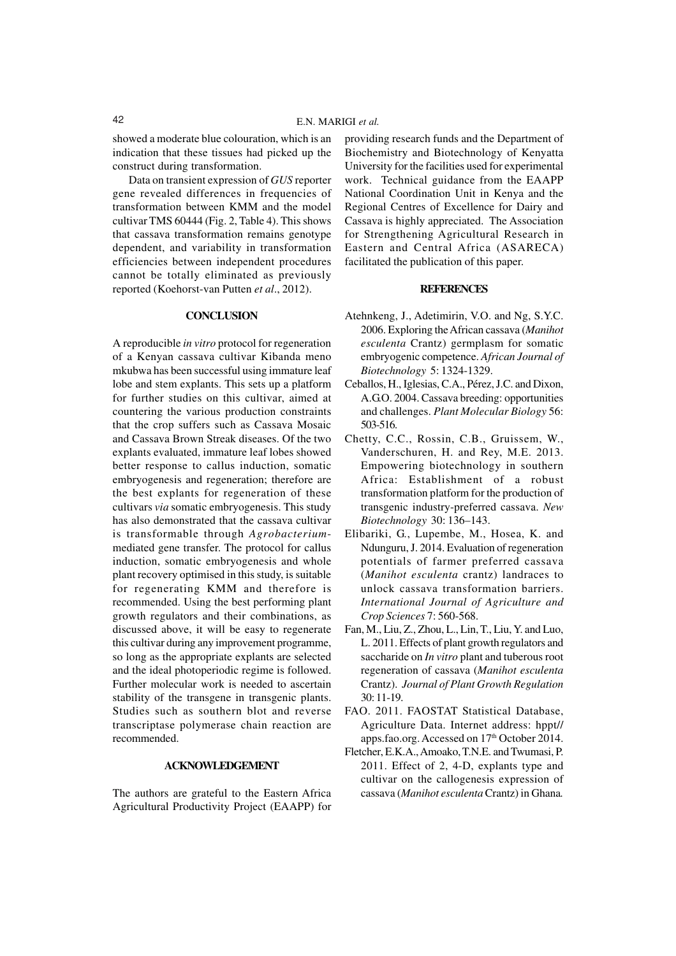showed a moderate blue colouration, which is an indication that these tissues had picked up the construct during transformation.

Data on transient expression of *GUS* reporter gene revealed differences in frequencies of transformation between KMM and the model cultivar TMS 60444 (Fig. 2, Table 4). This shows that cassava transformation remains genotype dependent, and variability in transformation efficiencies between independent procedures cannot be totally eliminated as previously reported (Koehorst-van Putten *et al*., 2012).

## **CONCLUSION**

A reproducible *in vitro* protocol for regeneration of a Kenyan cassava cultivar Kibanda meno mkubwa has been successful using immature leaf lobe and stem explants. This sets up a platform for further studies on this cultivar, aimed at countering the various production constraints that the crop suffers such as Cassava Mosaic and Cassava Brown Streak diseases. Of the two explants evaluated, immature leaf lobes showed better response to callus induction, somatic embryogenesis and regeneration; therefore are the best explants for regeneration of these cultivars *via* somatic embryogenesis. This study has also demonstrated that the cassava cultivar is transformable through *Agrobacterium*mediated gene transfer. The protocol for callus induction, somatic embryogenesis and whole plant recovery optimised in this study, is suitable for regenerating KMM and therefore is recommended. Using the best performing plant growth regulators and their combinations, as discussed above, it will be easy to regenerate this cultivar during any improvement programme, so long as the appropriate explants are selected and the ideal photoperiodic regime is followed. Further molecular work is needed to ascertain stability of the transgene in transgenic plants. Studies such as southern blot and reverse transcriptase polymerase chain reaction are recommended.

# **ACKNOWLEDGEMENT**

The authors are grateful to the Eastern Africa Agricultural Productivity Project (EAAPP) for providing research funds and the Department of Biochemistry and Biotechnology of Kenyatta University for the facilities used for experimental work. Technical guidance from the EAAPP National Coordination Unit in Kenya and the Regional Centres of Excellence for Dairy and Cassava is highly appreciated. The Association for Strengthening Agricultural Research in Eastern and Central Africa (ASARECA) facilitated the publication of this paper.

#### **REFERENCES**

- Atehnkeng, J., Adetimirin, V.O. and Ng, S.Y.C. 2006. Exploring the African cassava (*Manihot esculenta* Crantz) germplasm for somatic embryogenic competence. *African Journal of Biotechnology* 5: 1324-1329.
- Ceballos, H., Iglesias, C.A., Pérez, J.C. and Dixon, A.G.O. 2004. Cassava breeding: opportunities and challenges. *Plant Molecular Biology* 56: 503-516.
- Chetty, C.C., Rossin, C.B., Gruissem, W., Vanderschuren, H. and Rey, M.E. 2013. Empowering biotechnology in southern Africa: Establishment of a robust transformation platform for the production of transgenic industry-preferred cassava. *New Biotechnology* 30: 136–143.
- Elibariki, G., Lupembe, M., Hosea, K. and Ndunguru, J. 2014. Evaluation of regeneration potentials of farmer preferred cassava (*Manihot esculenta* crantz) landraces to unlock cassava transformation barriers. *International Journal of Agriculture and Crop Sciences* 7: 560-568.
- Fan, M., Liu, Z., Zhou, L., Lin, T., Liu, Y. and Luo, L. 2011. Effects of plant growth regulators and saccharide on *In vitro* plant and tuberous root regeneration of cassava (*Manihot esculenta* Crantz). *Journal of Plant Growth Regulation* 30: 11-19.
- FAO. 2011. FAOSTAT Statistical Database, Agriculture Data. Internet address: hppt// apps.fao.org. Accessed on 17<sup>th</sup> October 2014.
- Fletcher, E.K.A., Amoako, T.N.E. and Twumasi, P. 2011. Effect of 2, 4-D, explants type and cultivar on the callogenesis expression of cassava (*Manihot esculenta* Crantz) in Ghana*.*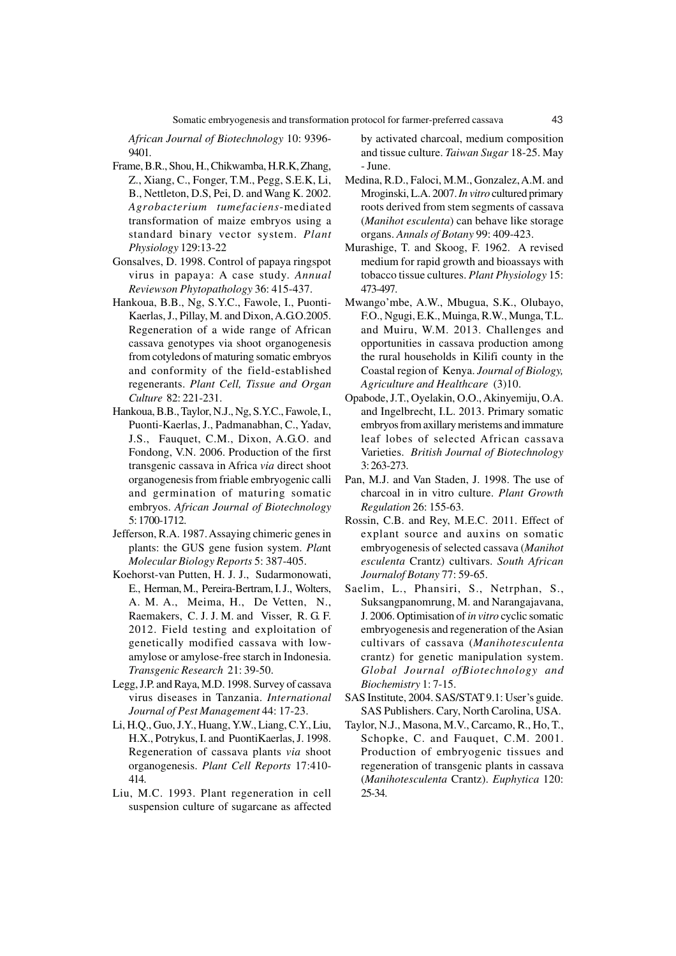*African Journal of Biotechnology* 10: 9396- 9401.

- Frame, B.R., Shou, H., Chikwamba, H.R.K, Zhang, Z., Xiang, C., Fonger, T.M., Pegg, S.E.K, Li, B., Nettleton, D.S, Pei, D. and Wang K. 2002. *Agrobacterium tumefaciens*-mediated transformation of maize embryos using a standard binary vector system. *Plant Physiology* 129:13-22
- Gonsalves, D. 1998. Control of papaya ringspot virus in papaya: A case study. *Annual Reviewson Phytopathology* 36: 415-437.
- Hankoua, B.B., Ng, S.Y.C., Fawole, I., Puonti-Kaerlas, J., Pillay, M. and Dixon, A.G.O.2005. Regeneration of a wide range of African cassava genotypes via shoot organogenesis from cotyledons of maturing somatic embryos and conformity of the field-established regenerants. *Plant Cell, Tissue and Organ Culture* 82: 221-231.
- Hankoua, B.B., Taylor, N.J., Ng, S.Y.C., Fawole, I., Puonti-Kaerlas, J., Padmanabhan, C., Yadav, J.S., Fauquet, C.M., Dixon, A.G.O. and Fondong, V.N. 2006. Production of the first transgenic cassava in Africa *via* direct shoot organogenesis from friable embryogenic calli and germination of maturing somatic embryos. *African Journal of Biotechnology* 5: 1700-1712.
- Jefferson, R.A. 1987. Assaying chimeric genes in plants: the GUS gene fusion system. *Pla*nt *Molecular Biology Reports* 5: 387-405.
- Koehorst-van Putten, H. J. J., Sudarmonowati, E., Herman, M., Pereira-Bertram, I. J., Wolters, A. M. A., Meima, H., De Vetten, N., Raemakers, C. J. J. M. and Visser, R. G. F. 2012. Field testing and exploitation of genetically modified cassava with lowamylose or amylose-free starch in Indonesia. *Transgenic Research* 21: 39-50.
- Legg, J.P. and Raya, M.D. 1998. Survey of cassava virus diseases in Tanzania. *International Journal of Pest Management* 44: 17-23.
- Li, H.Q., Guo, J.Y., Huang, Y.W., Liang, C.Y., Liu, H.X., Potrykus, I. and PuontiKaerlas, J. 1998. Regeneration of cassava plants *via* shoot organogenesis. *Plant Cell Reports* 17:410- 414.
- Liu, M.C. 1993. Plant regeneration in cell suspension culture of sugarcane as affected

by activated charcoal, medium composition and tissue culture. *Taiwan Sugar* 18-25. May - June.

- Medina, R.D., Faloci, M.M., Gonzalez, A.M. and Mroginski, L.A. 2007. *In vitro* cultured primary roots derived from stem segments of cassava (*Manihot esculenta*) can behave like storage organs. *Annals of Botany* 99: 409-423.
- Murashige, T. and Skoog, F. 1962. A revised medium for rapid growth and bioassays with tobacco tissue cultures. *Plant Physiology* 15: 473-497.
- Mwango'mbe, A.W., Mbugua, S.K., Olubayo, F.O., Ngugi, E.K., Muinga, R.W., Munga, T.L. and Muiru, W.M. 2013. Challenges and opportunities in cassava production among the rural households in Kilifi county in the Coastal region of Kenya. *Journal of Biology, Agriculture and Healthcare* (3)10.
- Opabode, J.T., Oyelakin, O.O., Akinyemiju, O.A. and Ingelbrecht, I.L. 2013. Primary somatic embryos from axillary meristems and immature leaf lobes of selected African cassava Varieties. *British Journal of Biotechnology* 3: 263-273.
- Pan, M.J. and Van Staden, J. 1998. The use of charcoal in in vitro culture. *Plant Growth Regulation* 26: 155-63.
- Rossin, C.B. and Rey, M.E.C. 2011. Effect of explant source and auxins on somatic embryogenesis of selected cassava (*Manihot esculenta* Crantz) cultivars. *South African Journalof Botany* 77: 59-65.
- Saelim, L., Phansiri, S., Netrphan, S., Suksangpanomrung, M. and Narangajavana, J. 2006. Optimisation of *in vitro* cyclic somatic embryogenesis and regeneration of the Asian cultivars of cassava (*Manihotesculenta* crantz) for genetic manipulation system. *Global Journal ofBiotechnology and Biochemistry* 1: 7-15.
- SAS Institute, 2004. SAS/STAT 9.1: User's guide. SAS Publishers. Cary, North Carolina, USA.
- Taylor, N.J., Masona, M.V., Carcamo, R., Ho, T., Schopke, C. and Fauquet, C.M. 2001. Production of embryogenic tissues and regeneration of transgenic plants in cassava (*Manihotesculenta* Crantz). *Euphytica* 120: 25-34.